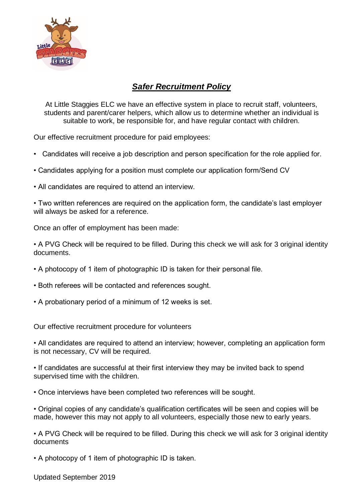

## *Safer Recruitment Policy*

At Little Staggies ELC we have an effective system in place to recruit staff, volunteers, students and parent/carer helpers, which allow us to determine whether an individual is suitable to work, be responsible for, and have regular contact with children.

Our effective recruitment procedure for paid employees:

- Candidates will receive a job description and person specification for the role applied for.
- Candidates applying for a position must complete our application form/Send CV
- All candidates are required to attend an interview.

• Two written references are required on the application form, the candidate's last employer will always be asked for a reference.

Once an offer of employment has been made:

• A PVG Check will be required to be filled. During this check we will ask for 3 original identity documents.

- A photocopy of 1 item of photographic ID is taken for their personal file.
- Both referees will be contacted and references sought.
- A probationary period of a minimum of 12 weeks is set.

Our effective recruitment procedure for volunteers

• All candidates are required to attend an interview; however, completing an application form is not necessary, CV will be required.

• If candidates are successful at their first interview they may be invited back to spend supervised time with the children.

• Once interviews have been completed two references will be sought.

• Original copies of any candidate's qualification certificates will be seen and copies will be made, however this may not apply to all volunteers, especially those new to early years.

• A PVG Check will be required to be filled. During this check we will ask for 3 original identity documents

• A photocopy of 1 item of photographic ID is taken.

Updated September 2019